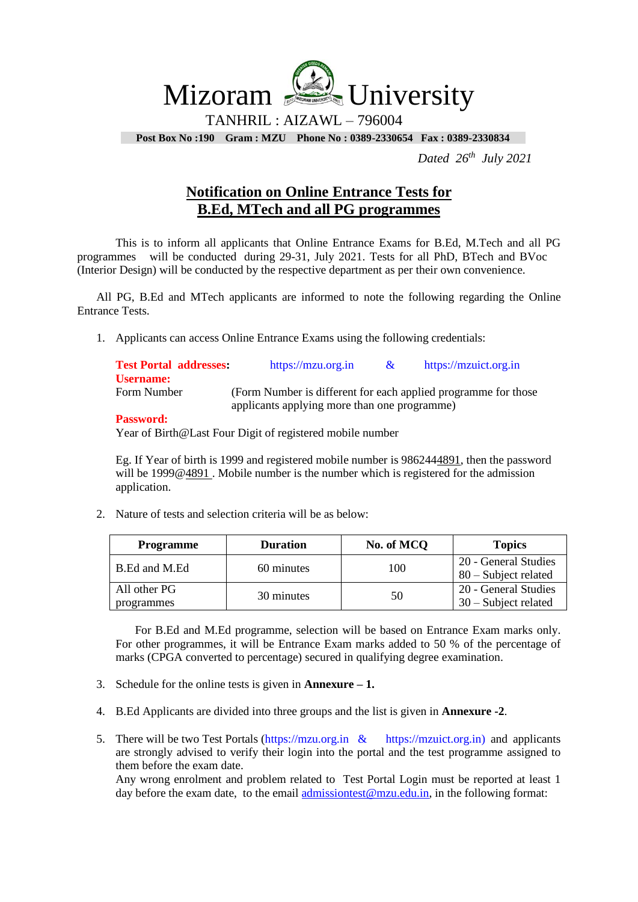Mizoram <u>Sea</u> University

TANHRIL : AIZAWL – 796004

**Post Box No :190 Gram : MZU Phone No : 0389-2330654 Fax : 0389-2330834**

 *Dated 26 th July 2021*

## **Notification on Online Entrance Tests for B.Ed, MTech and all PG programmes**

 programmes will be conducted during 29-31, July 2021. Tests for all PhD, BTech and BVoc This is to inform all applicants that Online Entrance Exams for B.Ed, M.Tech and all PG (Interior Design) will be conducted by the respective department as per their own convenience.

All PG, B.Ed and MTech applicants are informed to note the following regarding the Online Entrance Tests.

1. Applicants can access Online Entrance Exams using the following credentials:

| <b>Test Portal addresses:</b> | https://mzu.org.in                                              | $\alpha$ | https://mzuict.org.in |
|-------------------------------|-----------------------------------------------------------------|----------|-----------------------|
| Username:<br>Form Number      | (Form Number is different for each applied programme for those) |          |                       |
| Dogovernate                   | applicants applying more than one programme)                    |          |                       |

## **Password:**

Year of Birth@Last Four Digit of registered mobile number

Eg. If Year of birth is 1999 and registered mobile number is 9862444891, then the password will be 1999@4891. Mobile number is the number which is registered for the admission application.

2. Nature of tests and selection criteria will be as below:

| <b>Programme</b>           | <b>Duration</b> | No. of MCQ | <b>Topics</b>                                  |
|----------------------------|-----------------|------------|------------------------------------------------|
| B.Ed and M.Ed              | 60 minutes      | 100        | 20 - General Studies<br>$80$ – Subject related |
| All other PG<br>programmes | 30 minutes      | 50         | 20 - General Studies<br>$30$ – Subject related |

For B.Ed and M.Ed programme, selection will be based on Entrance Exam marks only. For other programmes, it will be Entrance Exam marks added to 50 % of the percentage of marks (CPGA converted to percentage) secured in qualifying degree examination.

- 3. Schedule for the online tests is given in **Annexure – 1.**
- 4. B.Ed Applicants are divided into three groups and the list is given in **Annexure -2**.
- 5. There will be two Test Portals [\(https://mzu.org.in](https://mzu.org.in/) & https://mzuict.org.in) and applicants are strongly advised to verify their login into the portal and the test programme assigned to them before the exam date.

Any wrong enrolment and problem related to Test Portal Login must be reported at least 1 day before the exam date, to the email [admissiontest@mzu.edu.in,](mailto:admissiontest@mzu.edu.in) in the following format: